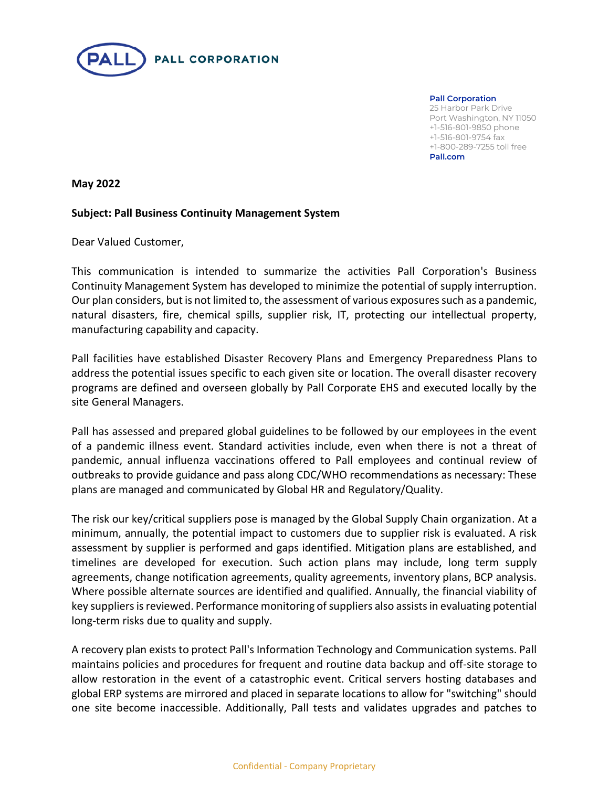

**Pall Corporation** 25 Harbor Park Drive Port Washington, NY 11050 +1-516-801-9850 phone +1-516-801-9754 fax +1-800-289-7255 toll free **Pall.com**

**May 2022**

## **Subject: Pall Business Continuity Management System**

Dear Valued Customer,

This communication is intended to summarize the activities Pall Corporation's Business Continuity Management System has developed to minimize the potential of supply interruption. Our plan considers, but is not limited to, the assessment of various exposures such as a pandemic, natural disasters, fire, chemical spills, supplier risk, IT, protecting our intellectual property, manufacturing capability and capacity.

Pall facilities have established Disaster Recovery Plans and Emergency Preparedness Plans to address the potential issues specific to each given site or location. The overall disaster recovery programs are defined and overseen globally by Pall Corporate EHS and executed locally by the site General Managers.

Pall has assessed and prepared global guidelines to be followed by our employees in the event of a pandemic illness event. Standard activities include, even when there is not a threat of pandemic, annual influenza vaccinations offered to Pall employees and continual review of outbreaks to provide guidance and pass along CDC/WHO recommendations as necessary: These plans are managed and communicated by Global HR and Regulatory/Quality.

The risk our key/critical suppliers pose is managed by the Global Supply Chain organization. At a minimum, annually, the potential impact to customers due to supplier risk is evaluated. A risk assessment by supplier is performed and gaps identified. Mitigation plans are established, and timelines are developed for execution. Such action plans may include, long term supply agreements, change notification agreements, quality agreements, inventory plans, BCP analysis. Where possible alternate sources are identified and qualified. Annually, the financial viability of key suppliers is reviewed. Performance monitoring of suppliers also assists in evaluating potential long-term risks due to quality and supply.

A recovery plan exists to protect Pall's Information Technology and Communication systems. Pall maintains policies and procedures for frequent and routine data backup and off-site storage to allow restoration in the event of a catastrophic event. Critical servers hosting databases and global ERP systems are mirrored and placed in separate locations to allow for "switching" should one site become inaccessible. Additionally, Pall tests and validates upgrades and patches to